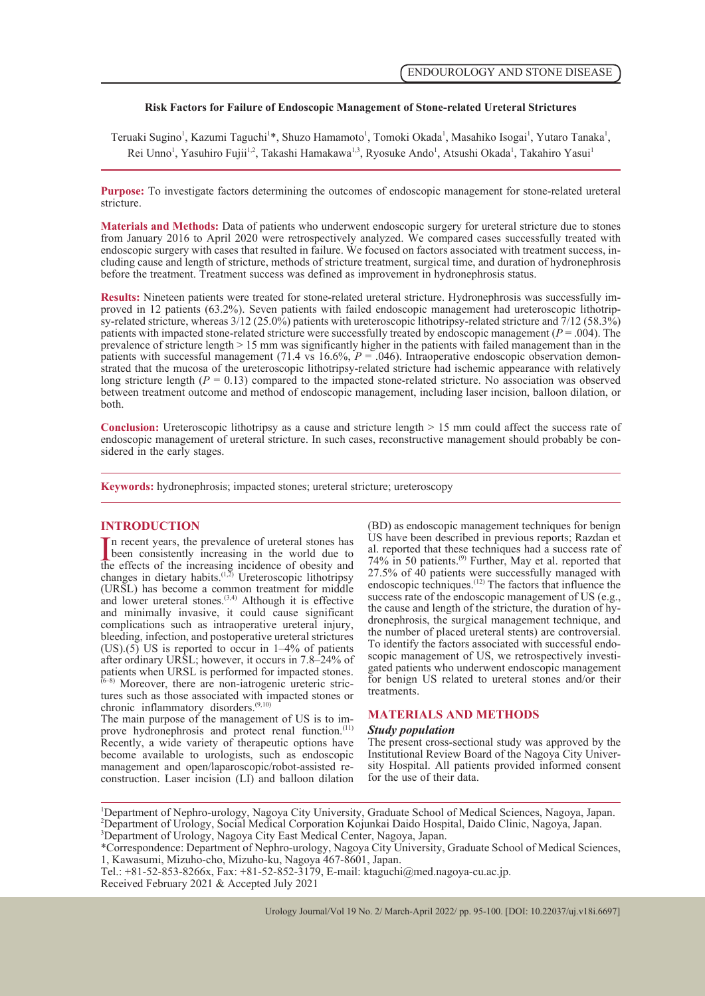### **Risk Factors for Failure of Endoscopic Management of Stone-related Ureteral Strictures**

Teruaki Sugino<sup>1</sup>, Kazumi Taguchi<sup>1\*</sup>, Shuzo Hamamoto<sup>1</sup>, Tomoki Okada<sup>1</sup>, Masahiko Isogai<sup>1</sup>, Yutaro Tanaka<sup>1</sup>, Rei Unno<sup>1</sup>, Yasuhiro Fujii<sup>1,2</sup>, Takashi Hamakawa<sup>1,3</sup>, Ryosuke Ando<sup>1</sup>, Atsushi Okada<sup>1</sup>, Takahiro Yasui<sup>1</sup>

**Purpose:** To investigate factors determining the outcomes of endoscopic management for stone-related ureteral stricture.

**Materials and Methods:** Data of patients who underwent endoscopic surgery for ureteral stricture due to stones from January 2016 to April 2020 were retrospectively analyzed. We compared cases successfully treated with endoscopic surgery with cases that resulted in failure. We focused on factors associated with treatment success, in cluding cause and length of stricture, methods of stricture treatment, surgical time, and duration of hydronephrosis before the treatment. Treatment success was defined as improvement in hydronephrosis status.

**Results:** Nineteen patients were treated for stone-related ureteral stricture. Hydronephrosis was successfully im-<br>proved in 12 patients (63.2%). Seven patients with failed endoscopic management had ureteroscopic lithotr patients with impacted stone-related stricture were successfully treated by endoscopic management  $(P = .004)$ . The prevalence of stricture length  $> 15$  mm was significantly higher in the patients with failed management than in the patients with successful management (71.4 vs 16.6%,  $P = .046$ ). Intraoperative endoscopic observation dem strated that the mucosa of the ureteroscopic lithotripsy-related stricture had ischemic appearance with relatively long stricture length  $(P = 0.13)$  compared to the impacted stone-related stricture. No association was observed between treatment outcome and method of endoscopic management, including laser incision, balloon dilation, or both.

**Conclusion:** Ureteroscopic lithotripsy as a cause and stricture length > 15 mm could affect the success rate of endoscopic management of ureteral stricture. In such cases, reconstructive management should probably be considered in the early stages.

**Keywords:** hydronephrosis; impacted stones; ureteral stricture; ureteroscopy

#### **INTRODUCTION**

In recent years, the prevalence of ureteral stones has<br>been consistently increasing in the world due to<br>the effects of the increasing incidence of obesity and<br> $\frac{(1,2)}{2}$  Unidence of obesity and If it recent years, the prevalence of ureteral stones has been consistently increasing in the world due to changes in dietary habits.<sup>(1,2)</sup> Ureteroscopic lithotripsy (URSL) has become a common treatment for middle and lower ureteral stones. $(3,4)$  Although it is effective and minimally invasive, it could cause significant complications such as intraoperative ureteral injury, bleeding, infection, and postoperative ureteral strictures  $(US)(5)$  US is reported to occur in  $1-4\%$  of patients after ordinary URSL; however, it occurs in 7.8–24% of patients when URSL is performed for impacted stones.

 $(6-8)$  Moreover, there are non-iatrogenic ureteric strictures such as those associated with impacted stones or tures such as those associated with impacted stones or chronic inflammatory disorders.<sup>(9,10)</sup> The main purpose of the management of US is to im-

prove hydronephrosis and protect renal function.<sup>(11)</sup> Recently, a wide variety of therapeutic options have become available to urologists, such as endoscopic management and open/laparoscopic/robot-assisted reconstruction. Laser incision (LI) and balloon dilation

(BD) as endoscopic management techniques for benign US have been described in previous reports; Razdan et al. reported that these techniques had a success rate of  $74\%$  in 50 patients.<sup>(9)</sup> Further, May et al. reported that 27.5% of 40 patients were successfully managed with endoscopic techniques.(12) The factors that influence the success rate of the endoscopic management of US (e.g., the cause and length of the stricture, the duration of hydronephrosis, the surgical management technique, and the number of placed ureteral stents) are controversial.<br>To identify the factors associated with successful endoscopic management of US, we retrospectively investigated patients who underwent endoscopic management for benign US related to ureteral stones and/or their treatments.

#### **MATERIALS AND METHODS**

#### *Study population*

The present cross-sectional study was approved by the sity Hospital. All patients provided informed consent for the use of their data.

Tel.: +81-52-853-8266x, Fax: +81-52-852-3179, E-mail: ktaguchi@med.nagoya-cu.ac.jp. Received February 2021 & Accepted July 2021

<sup>&</sup>lt;sup>1</sup>Department of Nephro-urology, Nagoya City University, Graduate School of Medical Sciences, Nagoya, Japan. <sup>2</sup> Department of Urology, Social Medical Corporation Kojunkai Daido Hospital, Daido Clinic, Nagoya, Japan. 3 Department of Urology, Nagoya City East Medical Center, Nagoya, Japan.

<sup>\*</sup>Correspondence: Department of Nephro-urology, Nagoya City University, Graduate School of Medical Sciences, 1, Kawasumi, Mizuho-cho, Mizuho-ku, Nagoya 467-8601, Japan.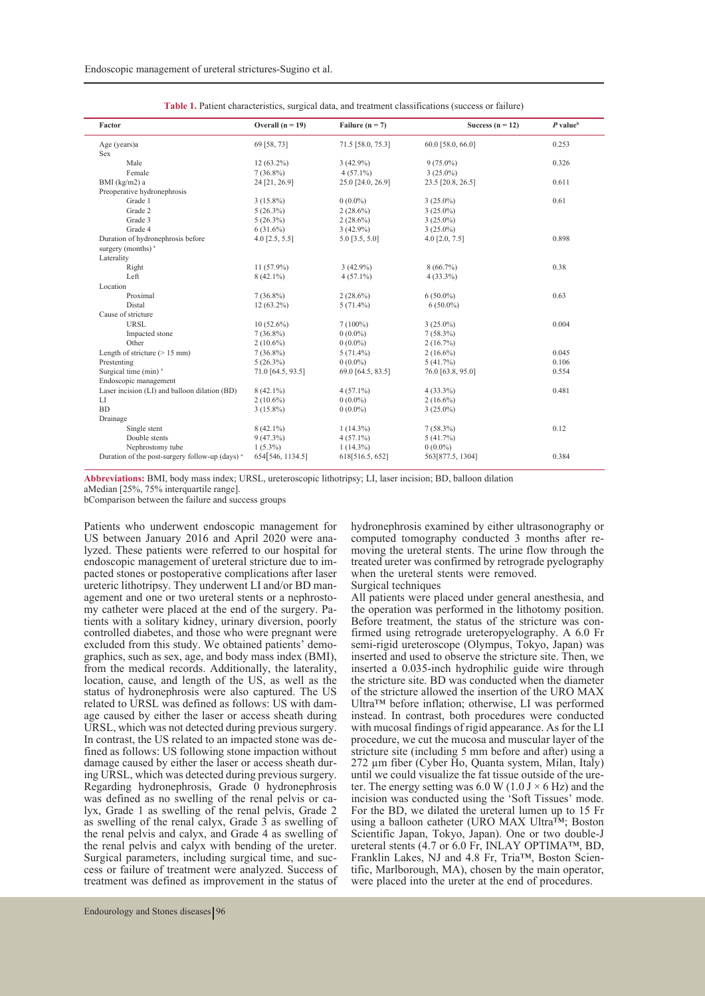| Factor                                                     | Overall $(n = 19)$ | Failure ( $n = 7$ ) | Success $(n = 12)$ | $P$ value <sup>b</sup> |
|------------------------------------------------------------|--------------------|---------------------|--------------------|------------------------|
| Age (years)a                                               | 69 [58, 73]        | 71.5 [58.0, 75.3]   | 60.0 [58.0, 66.0]  | 0.253                  |
| <b>Sex</b>                                                 |                    |                     |                    |                        |
| Male                                                       | $12(63.2\%)$       | $3(42.9\%)$         | $9(75.0\%)$        | 0.326                  |
| Female                                                     | $7(36.8\%)$        | $4(57.1\%)$         | $3(25.0\%)$        |                        |
| BMI $(kg/m2)$ a                                            | 24 [21, 26.9]      | 25.0 [24.0, 26.9]   | 23.5 [20.8, 26.5]  | 0.611                  |
| Preoperative hydronephrosis                                |                    |                     |                    |                        |
| Grade 1                                                    | $3(15.8\%)$        | $0(0.0\%)$          | $3(25.0\%)$        | 0.61                   |
| Grade 2                                                    | $5(26.3\%)$        | $2(28.6\%)$         | $3(25.0\%)$        |                        |
| Grade 3                                                    | $5(26.3\%)$        | $2(28.6\%)$         | $3(25.0\%)$        |                        |
| Grade 4                                                    | $6(31.6\%)$        | $3(42.9\%)$         | $3(25.0\%)$        |                        |
| Duration of hydronephrosis before                          | $4.0$ [2.5, 5.5]   | $5.0$ [3.5, 5.0]    | 4.0 $[2.0, 7.5]$   | 0.898                  |
| surgery (months) <sup>a</sup>                              |                    |                     |                    |                        |
| Laterality                                                 |                    |                     |                    |                        |
| Right                                                      | $11(57.9\%)$       | $3(42.9\%)$         | $8(66.7\%)$        | 0.38                   |
| Left                                                       | $8(42.1\%)$        | $4(57.1\%)$         | $4(33.3\%)$        |                        |
| Location                                                   |                    |                     |                    |                        |
| Proximal                                                   | $7(36.8\%)$        | $2(28.6\%)$         | $6(50.0\%)$        | 0.63                   |
| Distal                                                     | $12(63.2\%)$       | $5(71.4\%)$         | $6(50.0\%)$        |                        |
| Cause of stricture                                         |                    |                     |                    |                        |
| <b>URSL</b>                                                | $10(52.6\%)$       | $7(100\%)$          | $3(25.0\%)$        | 0.004                  |
| Impacted stone                                             | $7(36.8\%)$        | $0(0.0\%)$          | $7(58.3\%)$        |                        |
| Other                                                      | $2(10.6\%)$        | $0(0.0\%)$          | 2(16.7%)           |                        |
| Length of stricture $(> 15$ mm)                            | $7(36.8\%)$        | $5(71.4\%)$         | $2(16.6\%)$        | 0.045                  |
| Prestenting                                                | $5(26.3\%)$        | $0(0.0\%)$          | 5(41.7%)           | 0.106                  |
| Surgical time (min) <sup>a</sup>                           | 71.0 [64.5, 93.5]  | 69.0 [64.5, 83.5]   | 76.0 [63.8, 95.0]  | 0.554                  |
| Endoscopic management                                      |                    |                     |                    |                        |
| Laser incision (LI) and balloon dilation (BD)              | $8(42.1\%)$        | $4(57.1\%)$         | $4(33.3\%)$        | 0.481                  |
| LI                                                         | $2(10.6\%)$        | $0(0.0\%)$          | $2(16.6\%)$        |                        |
| <b>BD</b>                                                  | $3(15.8\%)$        | $0(0.0\%)$          | $3(25.0\%)$        |                        |
| Drainage                                                   |                    |                     |                    |                        |
| Single stent                                               | $8(42.1\%)$        | $1(14.3\%)$         | $7(58.3\%)$        | 0.12                   |
| Double stents                                              | $9(47.3\%)$        | $4(57.1\%)$         | 5(41.7%)           |                        |
| Nephrostomy tube                                           | $1(5.3\%)$         | $1(14.3\%)$         | $0(0.0\%)$         |                        |
| Duration of the post-surgery follow-up (days) <sup>a</sup> | 654 546, 1134.5]   | 618[516.5, 652]     | 563[877.5, 1304]   | 0.384                  |

| <b>Table 1.</b> Patient characteristics, surgical data, and treatment classifications (success or failure) |  |  |  |
|------------------------------------------------------------------------------------------------------------|--|--|--|
|------------------------------------------------------------------------------------------------------------|--|--|--|

**Abbreviations:** BMI, body mass index; URSL, ureteroscopic lithotripsy; LI, laser incision; BD, balloon dilation aMedian [25%, 75% interquartile range].

bComparison between the failure and success groups

Patients who underwent endoscopic management for US between January 2016 and April 2020 were analyzed. These patients were referred to our hospital for endoscopic management of ureteral stricture due to impacted stones or postoperative complications after laser ureteric lithotripsy. They underwent LI and/or BD management and one or two ureteral stents or a nephrosto-<br>my catheter were placed at the end of the surgery. Pa-<br>tients with a solitary kidney, urinary diversion, poorly controlled diabetes, and those who were pregnant were excluded from this study. We obtained patients' demographics, such as sex, age, and body mass index (BMI), from the medical records. Additionally, the laterality, location, cause, and length of the US, as well as the status of hydronephrosis were also captured. The US related to URSL was defined as follows: US with damage caused by either the laser or access sheath during URSL, which was not detected during previous surgery. In contrast, the US related to an impacted stone was de-<br>fined as follows: US following stone impaction without<br>damage caused by either the laser or access sheath during URSL, which was detected during previous surgery. Regarding hydronephrosis, Grade  $\overline{0}$  hydronephrosis was defined as no swelling of the renal pelvis or calyx, Grade 1 as swelling of the renal pelvis, Grade 2 as swelling of the renal calyx, Grade  $\overline{3}$  as swelling of the renal pelvis and calyx, and Grade 4 as swelling of the renal pelvis and calyx with bending of the ureter. Surgical parameters, including surgical time, and suc- cess or failure of treatment were analyzed. Success of treatment was defined as improvement in the status of

hydronephrosis examined by either ultrasonography or computed tomography conducted 3 months after removing the ureteral stents. The urine flow through the treated ureter was confirmed by retrograde pyelography when the ureteral stents were removed.

### Surgical techniques

All patients were placed under general anesthesia, and the operation was performed in the lithotomy position. firmed using retrograde ureteropyelography. A 6.0 Fr semi-rigid ureteroscope (Olympus, Tokyo, Japan) was inserted and used to observe the stricture site. Then, we inserted a 0.035-inch hydrophilic guide wire through the stricture site. BD was conducted when the diameter of the stricture allowed the insertion of the URO MAX Ultra™ before inflation; otherwise, LI was performed instead. In contrast, both procedures were conducted with mucosal findings of rigid appearance. As for the LI procedure, we cut the mucosa and muscular layer of the stricture site (including 5 mm before and after) using a 272 μm fiber (Cyber Ho, Quanta system, Milan, Italy) ter. The energy setting was 6.0 W (1.0 J  $\times$  6 Hz) and the incision was conducted using the 'Soft Tissues' mode. For the BD, we dilated the ureteral lumen up to 15 Fr using a balloon catheter (URO MAX Ultra<sup>TM</sup>; Boston Scientific Japan, Tokyo, Japan). One or two double-J ureteral stents (4.7 or 6.0 Fr, INLAY OPTIMA™, BD, Franklin Lakes, NJ and 4.8 Fr, Tria™, Boston Scien- tific, Marlborough, MA), chosen by the main operator, were placed into the ureter at the end of procedures.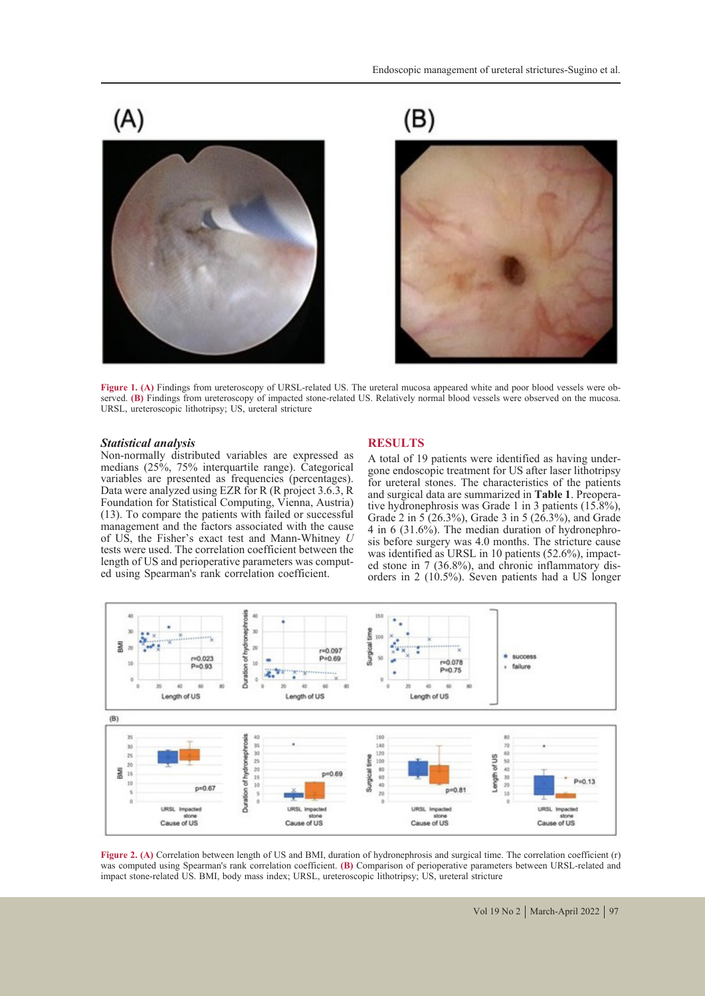

 $(B)$ 





Figure 1. (A) Findings from ureteroscopy of URSL-related US. The ureteral mucosa appeared white and poor blood vessels were observed. (B) Findings from ureteroscopy of impacted stone-related US. Relatively normal blood ves URSL, ureteroscopic lithotripsy; US, ureteral stricture

#### *Statistical analysis*

Non-normally distributed variables are expressed as medians (25%, 75% interquartile range). Categorical variables are presented as frequencies (percentages). Data were analyzed using EZR for R (R project 3.6.3, R Foundation for Statistical Computing, Vienna, Austria) (13). To compare the patients with failed or successful management and the factors associated with the cause of US, the Fisher's exact test and Mann-Whitney *U*  tests were used. The correlation coefficient between the length of US and perioperative parameters was comput- ed using Spearman's rank correlation coefficient.

#### **RESULTS**

A total of 19 patients were identified as having under- gone endoscopic treatment for US after laser lithotripsy for ureteral stones. The characteristics of the patients and surgical data are summarized in **Table 1**. Preoperative hydronephrosis was Grade 1 in 3 patients (15.8%), Grade 2 in  $5(26.3\%)$ , Grade 3 in 5 ( $26.3\%$ ), and Grade 4 in 6 (31.6%). The median duration of hydronephrosis before surgery was 4.0 months. The stricture cause was identified as URSL in 10 patients  $(52.6\%)$ , impacted stone in 7 (36.8%), and chronic inflammatory dis-<br>orders in 2 (10.5%). Seven patients had a US longer



Figure 2. (A) Correlation between length of US and BMI, duration of hydronephrosis and surgical time. The correlation coefficient (r) was computed using Spearman's rank correlation coefficient. **(B)** Comparison of perioperative parameters between URSL-related and impact stone-related US. BMI, body mass index; URSL, ureteroscopic lithotripsy; US, ureteral stricture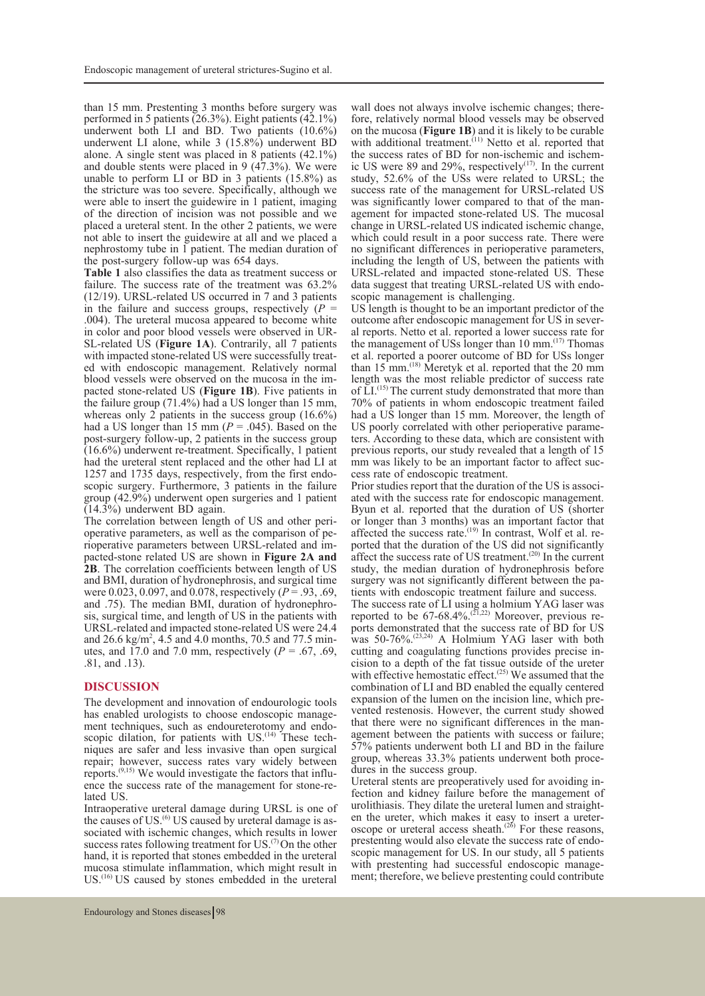than 15 mm. Prestenting 3 months before surgery was performed in 5 patients (26.3%). Eight patients (42.1%) underwent both LI and BD. Two patients (10.6%) underwent LI alone, while 3 (15.8%) underwent BD alone. A single stent was placed in 8 patients (42.1%) and double stents were placed in 9 (47.3%). We were unable to perform LI or BD in 3 patients (15.8%) as the stricture was too severe. Specifically, although we were able to insert the guidewire in 1 patient, imaging of the direction of incision was not possible and we placed a ureteral stent. In the other 2 patients, we were not able to insert the guidewire at all and we placed a nephrostomy tube in 1 patient. The median duration of the post-surgery follow-up was 654 days.

**Table 1** also classifies the data as treatment success or failure. The success rate of the treatment was 63.2% (12/19). URSL-related US occurred in 7 and 3 patients<br>in the failure and success groups, respectively ( $P =$ .004). The ureteral mucosa appeared to become white in color and poor blood vessels were observed in UR-SL-related US (**Figure 1A**). Contrarily, all 7 patients with impacted stone-related US were successfully treated with endoscopic management. Relatively normal blood vessels were observed on the mucosa in the impacted stone-related US (**Figure 1B**). Five patients in the failure group (71.4%) had a US longer than 15 mm, whereas only 2 patients in the success group  $(16.6\%)$ had a US longer than 15 mm  $(P = .045)$ . Based on the post-surgery follow-up, 2 patients in the success group (16.6%) underwent re-treatment. Specifically, 1 patient had the ureteral stent replaced and the other had LI at 1257 and 1735 days, respectively, from the first endoscopic surgery. Furthermore, 3 patients in the failure group (42.9%) underwent open surgeries and 1 patient (14.3%) underwent BD again.

operative parameters, as well as the comparison of pe-<br>rioperative parameters between URSL-related and im-<br>pacted-stone related US are shown in **Figure 2A and 2B**. The correlation coefficients between length of US and BMI, duration of hydronephrosis, and surgical time were 0.023, 0.097, and 0.078, respectively  $(P = .93, .69, \text{and } .75)$ . The median BMI, duration of hydronephrosis, surgical time, and length of US in the patients with URSL-related and impacted stone-related US were 24.4 and  $26.6 \text{ kg/m}^2$ , 4.5 and 4.0 months, 70.5 and 77.5 minutes, and 17.0 and 7.0 mm, respectively ( $P = .67, .69$ , .81, and .13).

## **DISCUSSION**

The development and innovation of endourologic tools has enabled urologists to choose endoscopic management techniques, such as endoureterotomy and endo-<br>scopic dilation, for patients with US.<sup>(14)</sup> These tech-<br>niques are safer and less invasive than open surgical repair; however, success rates vary widely between reports.(9,15) We would investigate the factors that influ- ence the success rate of the management for stone-re- lated US.

Intraoperative ureteral damage during URSL is one of the causes of US.(6) US caused by ureteral damage is as- sociated with ischemic changes, which results in lower success rates following treatment for US.<sup>(7)</sup> On the other hand, it is reported that stones embedded in the ureteral mucosa stimulate inflammation, which might result in US.(16) US caused by stones embedded in the ureteral wall does not always involve ischemic changes; there-<br>fore, relatively normal blood vessels may be observed on the mucosa (**Figure 1B**) and it is likely to be curable with additional treatment.<sup>(11)</sup> Netto et al. reported that the success rates of BD for non-ischemic and ischemic US were 89 and 29%, respectively<sup>(17)</sup>. In the current study, 52.6% of the USs were related to URSL; the success rate of the management for URSL-related US was significantly lower compared to that of the management for impacted stone-related US. The mucosal change in URSL-related US indicated ischemic change, which could result in a poor success rate. There were no significant differences in perioperative parameters, including the length of US, between the patients with URSL-related and impacted stone-related US. These data suggest that treating URSL-related US with endo- scopic management is challenging.

US length is thought to be an important predictor of the outcome after endoscopic management for US in sever- al reports. Netto et al. reported a lower success rate for the management of USs longer than 10 mm.<sup>(17)</sup> Thomas et al. reported a poorer outcome of BD for USs longer than 15 mm.(18) Meretyk et al. reported that the 20 mm length was the most reliable predictor of success rate of LI.<sup>(15)</sup> The current study demonstrated that more than 70% of patients in whom endoscopic treatment failed had a US longer than 15 mm. Moreover, the length of US poorly correlated with other perioperative parame- ters. According to these data, which are consistent with previous reports, our study revealed that a length of 15 mm was likely to be an important factor to affect success rate of endoscopic treatment.<br>Prior studies report that the duration of the US is associ-

ated with the success rate for endoscopic management. Byun et al. reported that the duration of US (shorter or longer than 3 months) was an important factor that affected the success rate.<sup> $(19)$ </sup> In contrast, Wolf et al. re-ported that the duration of the US did not significantly affect the success rate of US treatment.<sup> $(20)$ </sup> In the current study, the median duration of hydronephrosis before surgery was not significantly different between the patients with endoscopic treatment failure and success.

The success rate of LI using a holmium YAG laser was reported to be 67-68.4%.<sup>(21,22)</sup> Moreover, previous re-<br>ports demonstrated that the success rate of BD for US was  $50-76\%$ .<sup>(23,24)</sup> A Holmium YAG laser with both cutting and coagulating functions provides precise in- cision to a depth of the fat tissue outside of the ureter with effective hemostatic effect.<sup>(25)</sup> We assumed that the combination of LI and BD enabled the equally centered expansion of the lumen on the incision line, which prevented restenosis. However, the current study showed that there were no significant differences in the management between the patients with success or failure; 57% patients underwent both LI and BD in the failure group, whereas 33.3% patients underwent both proce- dures in the success group.

Ureteral stents are preoperatively used for avoiding in-<br>fection and kidney failure before the management of<br>urolithiasis. They dilate the ureteral lumen and straighten the ureter, which makes it easy to insert a ureter-<br>oscope or ureteral access sheath.<sup> $(26)$ </sup> For these reasons,<br>prestenting would also elevate the success rate of endoscopic management for US. In our study, all 5 patients with prestenting had successful endoscopic manage-<br>ment; therefore, we believe prestenting could contribute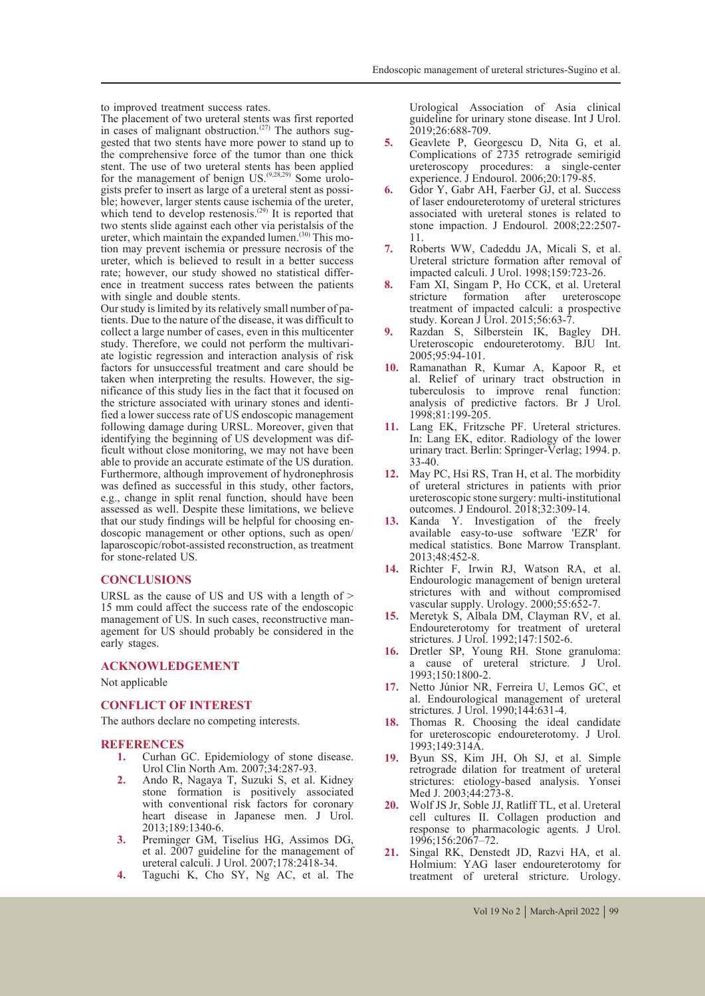to improved treatment success rates.

The placement of two ureteral stents was first reported in cases of malignant obstruction.<sup>(27)</sup> The authors suggested that two stents have more power to stand up to the comprehensive force of the tumor than one thick stent. The use of two ureteral stents has been applied for the management of benign US.<sup>(9,28,29)</sup> Some urolo-<br>gists prefer to insert as large of a ureteral stent as possi-<br>ble; however, larger stents cause ischemia of the ureter, which tend to develop restenosis.<sup> $(29)$ </sup> It is reported that two stents slide against each other via peristalsis of the ureter, which maintain the expanded lumen.<sup>(30)</sup> This mo-<br>tion may prevent ischemia or pressure necrosis of the ureter, which is believed to result in a better success rate; however, our study showed no statistical differ- ence in treatment success rates between the patients with single and double stents.<br>Our study is limited by its relatively small number of pa-

tients. Due to the nature of the disease, it was difficult to collect a large number of cases, even in this multicenter study. Therefore, we could not perform the multivariate logistic regression and interaction analysis of risk factors for unsuccessful treatment and care should be taken when interpreting the results. However, the significance of this study lies in the fact that it focused on the stricture associated with urinary stones and identified a lower success rate of US endoscopic management following damage during URSL. Moreover, given that identifying the beginning of US development was dif- ficult without close monitoring, we may not have been able to provide an accurate estimate of the US duration. Furthermore, although improvement of hydronephrosis was defined as successful in this study, other factors, e.g., change in split renal function, should have been assessed as well. Despite these limitations, we believe that our study findings will be helpful for choosing en- doscopic management or other options, such as open/ laparoscopic/robot-assisted reconstruction, as treatment for stone-related US.

#### **CONCLUSIONS**

URSL as the cause of US and US with a length of  $>$ 15 mm could affect the success rate of the endoscopic agement for US should probably be considered in the early stages.

#### **ACKNOWLEDGEMENT**

Not applicable

# **CONFLICT OF INTEREST**

The authors declare no competing interests.

# **REFERENCES**<br>1. Curhan 0

- **1.** Curhan GC. Epidemiology of stone disease. Urol Clin North Am. 2007;34:287-93.
- **2.** Ando R, Nagaya T, Suzuki S, et al. Kidney stone formation is positively associated with conventional risk factors for coronary heart disease in Japanese men. J Urol. 2013;189:1340-6.
- **3.** Preminger GM, Tiselius HG, Assimos DG, et al. 2007 guideline for the management of ureteral calculi. J Urol. 2007;178:2418-34.
- **4.** Taguchi K, Cho SY, Ng AC, et al. The

Urological Association of Asia clinical guideline for urinary stone disease. Int J Urol. 2019;26:688-709.

- **5.** Geavlete P, Georgescu D, Nita G, et al. Complications of 2735 retrograde semirigid ureteroscopy procedures: a single-center experience. J Endourol. 2006;20:179-85.
- **6.** Gdor Y, Gabr AH, Faerber GJ, et al. Success of laser endoureterotomy of ureteral strictures associated with ureteral stones is related to stone impaction. J Endourol. 2008;22:2507- 11.
- **7.** Roberts WW, Cadeddu JA, Micali S, et al. Ureteral stricture formation after removal of impacted calculi. J Urol. 1998;159:723-26.
- **8.** Fam XI, Singam P, Ho CCK, et al. Ureteral stricture formation after ureteroscope treatment of impacted calculi: a prospective study. Korean J Urol. 2015;56:63-7.
- **9.** Razdan S, Silberstein IK, Bagley DH. Ureteroscopic endoureterotomy. BJU Int. 2005;95:94-101.
- **10.** Ramanathan R, Kumar A, Kapoor R, et al. Relief of urinary tract obstruction in tuberculosis to improve renal function: analysis of predictive factors. Br J Urol. 1998;81:199-205.
- **11.** Lang EK, Fritzsche PF. Ureteral strictures. In: Lang EK, editor. Radiology of the lower urinary tract. Berlin: Springer-Verlag; 1994. p.  $33 - 40.$
- **12.** May PC, Hsi RS, Tran H, et al. The morbidity of ureteral strictures in patients with prior ureteroscopic stone surgery: multi-institutional outcomes. J Endourol. 2018;32:309-14.
- **13.** Kanda Y. Investigation of the freely available easy-to-use software 'EZR' for medical statistics. Bone Marrow Transplant. 2013;48:452-8.
- **14.** Richter F, Irwin RJ, Watson RA, et al. Endourologic management of benign ureteral strictures with and without compromised vascular supply. Urology. 2000;55:652-7.
- **15.** Meretyk S, Albala DM, Clayman RV, et al. Endoureterotomy for treatment of ureteral strictures. J Urol. 1992;147:1502-6.
- **16.** Dretler SP, Young RH. Stone granuloma: a cause of ureteral stricture. J Urol. 1993;150:1800-2.
- **17.** Netto Júnior NR, Ferreira U, Lemos GC, et al. Endourological management of ureteral strictures. J Urol. 1990;144:631-4.
- **18.** Thomas R. Choosing the ideal candidate for ureteroscopic endoureterotomy. J Urol. 1993;149:314A.
- **19.** Byun SS, Kim JH, Oh SJ, et al. Simple retrograde dilation for treatment of ureteral strictures: etiology-based analysis. Yonsei Med J. 2003;44:273-8.
- **20.** Wolf JS Jr, Soble JJ, Ratliff TL, et al. Ureteral cell cultures II. Collagen production and response to pharmacologic agents. J Urol. 1996;156:2067–72.
- **21.** Singal RK, Denstedt JD, Razvi HA, et al. Holmium: YAG laser endoureterotomy for treatment of ureteral stricture. Urology.